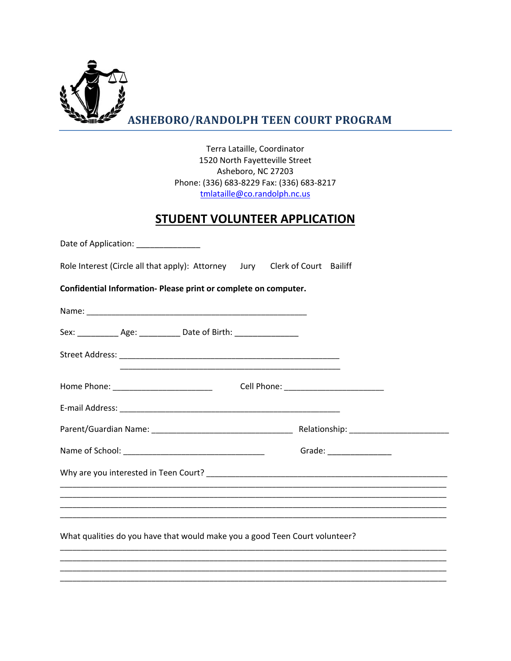

Terra Lataille, Coordinator 1520 North Fayetteville Street Asheboro, NC 27203 Phone: (336) 683-8229 Fax: (336) 683-8217 tmlataille@co.randolph.nc.us

## **STUDENT VOLUNTEER APPLICATION**

| Date of Application: _____________                                          |                          |
|-----------------------------------------------------------------------------|--------------------------|
| Role Interest (Circle all that apply): Attorney Jury Clerk of Court Bailiff |                          |
| Confidential Information- Please print or complete on computer.             |                          |
|                                                                             |                          |
| Sex: ______________ Age: ______________ Date of Birth: ____________________ |                          |
|                                                                             |                          |
|                                                                             |                          |
|                                                                             |                          |
|                                                                             |                          |
|                                                                             | Grade: _________________ |
|                                                                             |                          |
|                                                                             |                          |
|                                                                             |                          |
| What qualities do you have that would make you a good Teen Court volunteer? |                          |
|                                                                             |                          |
|                                                                             |                          |